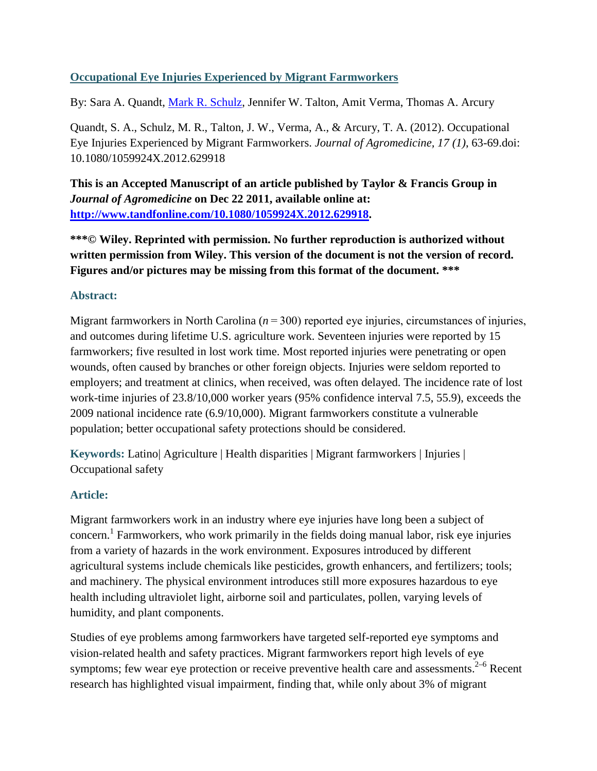### **Occupational Eye Injuries Experienced by Migrant Farmworkers**

By: Sara A. Quandt, [Mark R. Schulz,](http://libres.uncg.edu/ir/uncg/clist.aspx?id=1579) Jennifer W. Talton, Amit Verma, Thomas A. Arcury

Quandt, S. A., Schulz, M. R., Talton, J. W., Verma, A., & Arcury, T. A. (2012). Occupational Eye Injuries Experienced by Migrant Farmworkers. *Journal of Agromedicine, 17 (1)*, 63-69.doi: 10.1080/1059924X.2012.629918

**This is an Accepted Manuscript of an article published by Taylor & Francis Group in**  *Journal of Agromedicine* **on Dec 22 2011, available online at: [http://www.tandfonline.com/10.1080/1059924X.2012.629918.](http://www.tandfonline.com/10.1080/1059924X.2012.629918)**

**\*\*\*© Wiley. Reprinted with permission. No further reproduction is authorized without written permission from Wiley. This version of the document is not the version of record. Figures and/or pictures may be missing from this format of the document. \*\*\***

### **Abstract:**

Migrant farmworkers in North Carolina ( $n = 300$ ) reported eye injuries, circumstances of injuries, and outcomes during lifetime U.S. agriculture work. Seventeen injuries were reported by 15 farmworkers; five resulted in lost work time. Most reported injuries were penetrating or open wounds, often caused by branches or other foreign objects. Injuries were seldom reported to employers; and treatment at clinics, when received, was often delayed. The incidence rate of lost work-time injuries of 23.8/10,000 worker years (95% confidence interval 7.5, 55.9), exceeds the 2009 national incidence rate (6.9/10,000). Migrant farmworkers constitute a vulnerable population; better occupational safety protections should be considered.

**Keywords:** Latino| Agriculture | Health disparities | Migrant farmworkers | Injuries | Occupational safety

### **Article:**

Migrant farmworkers work in an industry where eye injuries have long been a subject of concern.<sup>1</sup> Farmworkers, who work primarily in the fields doing manual labor, risk eye injuries from a variety of hazards in the work environment. Exposures introduced by different agricultural systems include chemicals like pesticides, growth enhancers, and fertilizers; tools; and machinery. The physical environment introduces still more exposures hazardous to eye health including ultraviolet light, airborne soil and particulates, pollen, varying levels of humidity, and plant components.

Studies of eye problems among farmworkers have targeted self-reported eye symptoms and vision-related health and safety practices. Migrant farmworkers report high levels of eye symptoms; few wear eye protection or receive preventive health care and assessments. $2-6$  Recent research has highlighted visual impairment, finding that, while only about 3% of migrant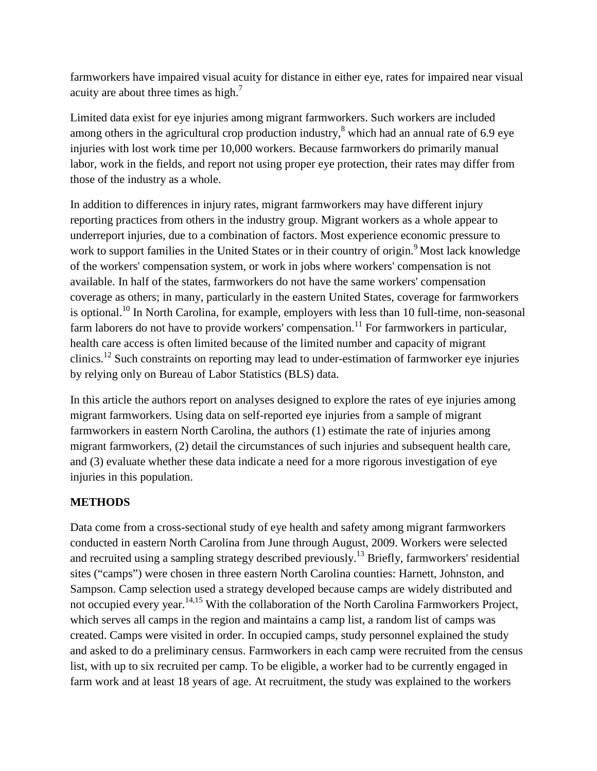farmworkers have impaired visual acuity for distance in either eye, rates for impaired near visual acuity are about three times as high.<sup>7</sup>

Limited data exist for eye injuries among migrant farmworkers. Such workers are included among others in the agricultural crop production industry, $\delta$  which had an annual rate of 6.9 eye injuries with lost work time per 10,000 workers. Because farmworkers do primarily manual labor, work in the fields, and report not using proper eye protection, their rates may differ from those of the industry as a whole.

In addition to differences in injury rates, migrant farmworkers may have different injury reporting practices from others in the industry group. Migrant workers as a whole appear to underreport injuries, due to a combination of factors. Most experience economic pressure to work to support families in the United States or in their country of origin.<sup>9</sup> Most lack knowledge of the workers' compensation system, or work in jobs where workers' compensation is not available. In half of the states, farmworkers do not have the same workers' compensation coverage as others; in many, particularly in the eastern United States, coverage for farmworkers is optional.<sup>10</sup> In North Carolina, for example, employers with less than 10 full-time, non-seasonal farm laborers do not have to provide workers' compensation.<sup>11</sup> For farmworkers in particular, health care access is often limited because of the limited number and capacity of migrant clinics.<sup>12</sup> Such constraints on reporting may lead to under-estimation of farmworker eye injuries by relying only on Bureau of Labor Statistics (BLS) data.

In this article the authors report on analyses designed to explore the rates of eye injuries among migrant farmworkers. Using data on self-reported eye injuries from a sample of migrant farmworkers in eastern North Carolina, the authors (1) estimate the rate of injuries among migrant farmworkers, (2) detail the circumstances of such injuries and subsequent health care, and (3) evaluate whether these data indicate a need for a more rigorous investigation of eye injuries in this population.

### **METHODS**

Data come from a cross-sectional study of eye health and safety among migrant farmworkers conducted in eastern North Carolina from June through August, 2009. Workers were selected and recruited using a sampling strategy described previously.<sup>13</sup> Briefly, farmworkers' residential sites ("camps") were chosen in three eastern North Carolina counties: Harnett, Johnston, and Sampson. Camp selection used a strategy developed because camps are widely distributed and not occupied every year.<sup>14,15</sup> With the collaboration of the North Carolina Farmworkers Project, which serves all camps in the region and maintains a camp list, a random list of camps was created. Camps were visited in order. In occupied camps, study personnel explained the study and asked to do a preliminary census. Farmworkers in each camp were recruited from the census list, with up to six recruited per camp. To be eligible, a worker had to be currently engaged in farm work and at least 18 years of age. At recruitment, the study was explained to the workers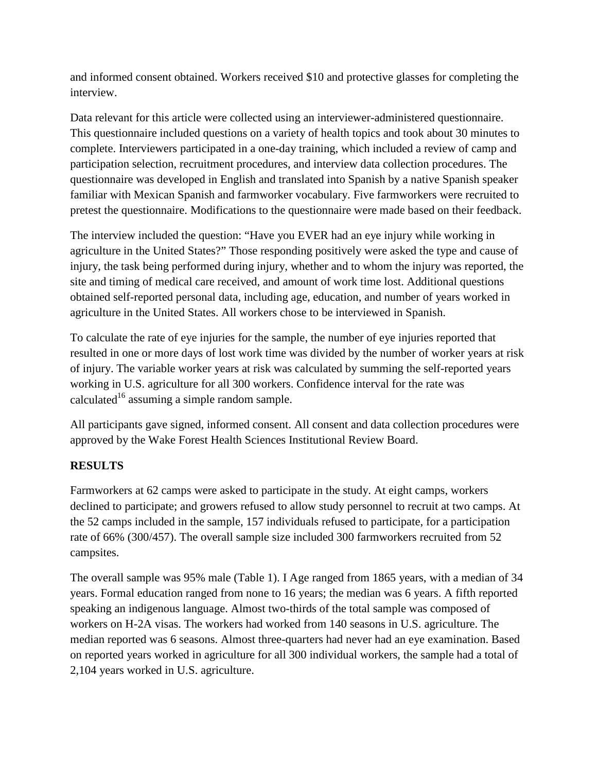and informed consent obtained. Workers received \$10 and protective glasses for completing the interview.

Data relevant for this article were collected using an interviewer-administered questionnaire. This questionnaire included questions on a variety of health topics and took about 30 minutes to complete. Interviewers participated in a one-day training, which included a review of camp and participation selection, recruitment procedures, and interview data collection procedures. The questionnaire was developed in English and translated into Spanish by a native Spanish speaker familiar with Mexican Spanish and farmworker vocabulary. Five farmworkers were recruited to pretest the questionnaire. Modifications to the questionnaire were made based on their feedback.

The interview included the question: "Have you EVER had an eye injury while working in agriculture in the United States?" Those responding positively were asked the type and cause of injury, the task being performed during injury, whether and to whom the injury was reported, the site and timing of medical care received, and amount of work time lost. Additional questions obtained self-reported personal data, including age, education, and number of years worked in agriculture in the United States. All workers chose to be interviewed in Spanish.

To calculate the rate of eye injuries for the sample, the number of eye injuries reported that resulted in one or more days of lost work time was divided by the number of worker years at risk of injury. The variable worker years at risk was calculated by summing the self-reported years working in U.S. agriculture for all 300 workers. Confidence interval for the rate was calculated<sup>16</sup> assuming a simple random sample.

All participants gave signed, informed consent. All consent and data collection procedures were approved by the Wake Forest Health Sciences Institutional Review Board.

# **RESULTS**

Farmworkers at 62 camps were asked to participate in the study. At eight camps, workers declined to participate; and growers refused to allow study personnel to recruit at two camps. At the 52 camps included in the sample, 157 individuals refused to participate, for a participation rate of 66% (300/457). The overall sample size included 300 farmworkers recruited from 52 campsites.

The overall sample was 95% male (Table 1). I Age ranged from 1865 years, with a median of 34 years. Formal education ranged from none to 16 years; the median was 6 years. A fifth reported speaking an indigenous language. Almost two-thirds of the total sample was composed of workers on H-2A visas. The workers had worked from 140 seasons in U.S. agriculture. The median reported was 6 seasons. Almost three-quarters had never had an eye examination. Based on reported years worked in agriculture for all 300 individual workers, the sample had a total of 2,104 years worked in U.S. agriculture.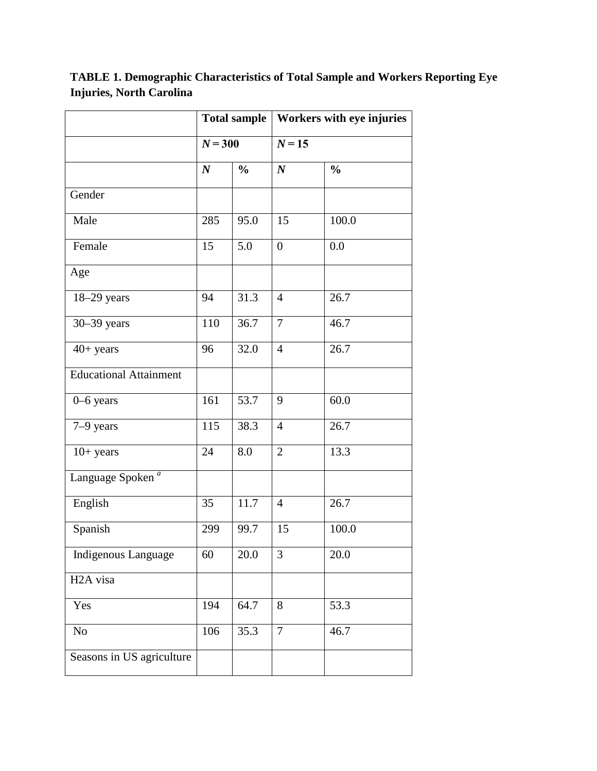**Total sample Workers with eye injuries**  $N = 300$   $N = 15$ *N* **%** *N* **% Gender** Male 285 95.0 15 100.0 Female 15 5.0 0 0.0 Age 18–29 years 94 31.3 4 26.7 30–39 years 110 36.7 7 46.7 40+ years 96 32.0 4 26.7 Educational Attainment 0–6 years 161 53.7 9 60.0 7–9 years 115 38.3 4 26.7 10+ years 24 8.0 2 13.3 Language Spoken *<sup>a</sup>* English 35 11.7 4 26.7 Spanish 299 99.7 15 100.0 Indigenous Language 60 20.0 3 20.0 H2A visa Yes 194 64.7 8 53.3 No  $\begin{array}{|c|c|c|c|c|c|c|c|c|} \hline \text{No} & & 35.3 & 7 & 46.7 \\ \hline \end{array}$ Seasons in US agriculture

**TABLE 1. Demographic Characteristics of Total Sample and Workers Reporting Eye Injuries, North Carolina**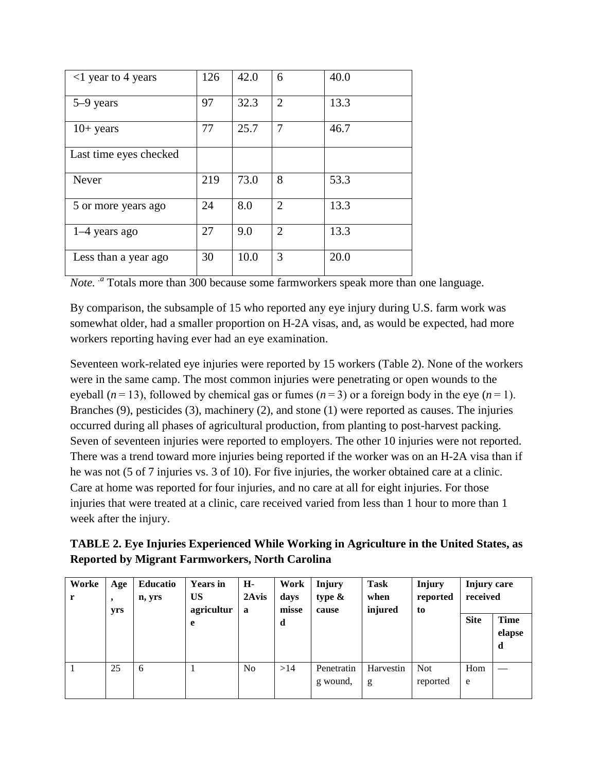| $\langle$ 1 year to 4 years | 126 | 42.0 | 6              | 40.0 |
|-----------------------------|-----|------|----------------|------|
| 5–9 years                   | 97  | 32.3 | $\overline{2}$ | 13.3 |
| $10+$ years                 | 77  | 25.7 | 7              | 46.7 |
| Last time eyes checked      |     |      |                |      |
| <b>Never</b>                | 219 | 73.0 | 8              | 53.3 |
| 5 or more years ago         | 24  | 8.0  | $\overline{2}$ | 13.3 |
| $1-4$ years ago             | 27  | 9.0  | $\overline{2}$ | 13.3 |
| Less than a year ago        | 30  | 10.0 | 3              | 20.0 |

*Note.* <sup>*a*</sup> Totals more than 300 because some farmworkers speak more than one language.

By comparison, the subsample of 15 who reported any eye injury during U.S. farm work was somewhat older, had a smaller proportion on H-2A visas, and, as would be expected, had more workers reporting having ever had an eye examination.

Seventeen work-related eye injuries were reported by 15 workers (Table 2). None of the workers were in the same camp. The most common injuries were penetrating or open wounds to the eyeball ( $n = 13$ ), followed by chemical gas or fumes ( $n = 3$ ) or a foreign body in the eye ( $n = 1$ ). Branches (9), pesticides (3), machinery (2), and stone (1) were reported as causes. The injuries occurred during all phases of agricultural production, from planting to post-harvest packing. Seven of seventeen injuries were reported to employers. The other 10 injuries were not reported. There was a trend toward more injuries being reported if the worker was on an H-2A visa than if he was not (5 of 7 injuries vs. 3 of 10). For five injuries, the worker obtained care at a clinic. Care at home was reported for four injuries, and no care at all for eight injuries. For those injuries that were treated at a clinic, care received varied from less than 1 hour to more than 1 week after the injury.

**TABLE 2. Eye Injuries Experienced While Working in Agriculture in the United States, as Reported by Migrant Farmworkers, North Carolina**

| Worke<br>r | Age<br>$\overline{\phantom{a}}$<br>yrs | <b>Educatio</b><br>n, yrs | <b>Years</b> in<br>US<br>agricultur | Н-<br>2Avis<br>a | Work<br>days<br>misse | <b>Injury</b><br>type $\&$<br>cause | Task<br>when<br>injured | Injury<br>reported<br>to | <b>Injury care</b><br>received |                            |
|------------|----------------------------------------|---------------------------|-------------------------------------|------------------|-----------------------|-------------------------------------|-------------------------|--------------------------|--------------------------------|----------------------------|
|            |                                        |                           | e                                   |                  | d                     |                                     |                         |                          | <b>Site</b>                    | <b>Time</b><br>elapse<br>d |
|            | 25                                     | 6                         |                                     | N <sub>o</sub>   | >14                   | Penetratin<br>g wound,              | Harvestin<br>g          | <b>Not</b><br>reported   | Hom<br>e                       |                            |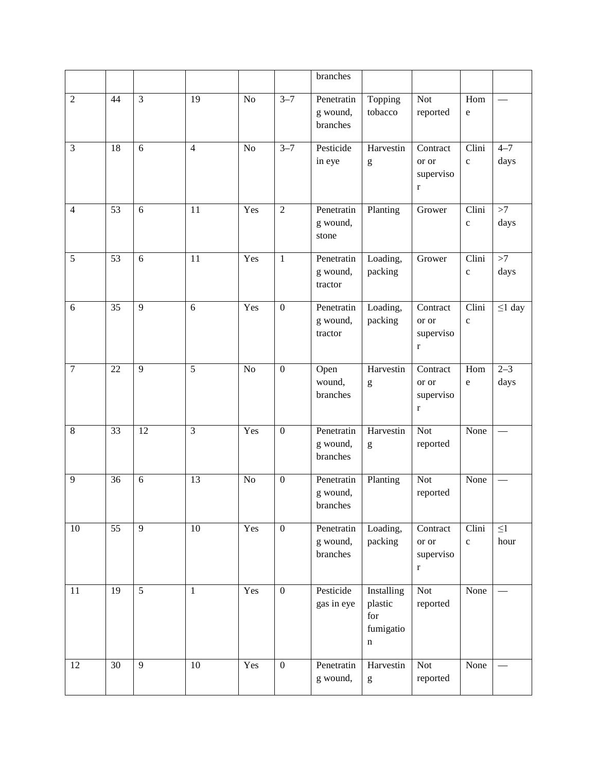|                |                 |                |                |                 |                  | branches                                    |                                                                                                                                                                                                                                                                                                                                                                                                                                             |                                               |                       |                  |
|----------------|-----------------|----------------|----------------|-----------------|------------------|---------------------------------------------|---------------------------------------------------------------------------------------------------------------------------------------------------------------------------------------------------------------------------------------------------------------------------------------------------------------------------------------------------------------------------------------------------------------------------------------------|-----------------------------------------------|-----------------------|------------------|
| $\overline{2}$ | 44              | $\mathfrak{Z}$ | 19             | No              | $3 - 7$          | Penetratin<br>g wound,<br>branches          | Topping<br>tobacco                                                                                                                                                                                                                                                                                                                                                                                                                          | <b>Not</b><br>reported                        | Hom<br>$\mathbf e$    |                  |
| 3              | 18              | 6              | $\overline{4}$ | N <sub>o</sub>  | $3 - 7$          | Pesticide<br>in eye                         | Harvestin<br>$\mathbf{g}% _{T}=\mathbf{g}_{T}=\mathbf{g}_{T}=\mathbf{g}_{T}=\mathbf{g}_{T}=\mathbf{g}_{T}=\mathbf{g}_{T}=\mathbf{g}_{T}=\mathbf{g}_{T}=\mathbf{g}_{T}=\mathbf{g}_{T}=\mathbf{g}_{T}=\mathbf{g}_{T}=\mathbf{g}_{T}=\mathbf{g}_{T}=\mathbf{g}_{T}=\mathbf{g}_{T}=\mathbf{g}_{T}=\mathbf{g}_{T}=\mathbf{g}_{T}=\mathbf{g}_{T}=\mathbf{g}_{T}=\mathbf{g}_{T}=\mathbf{g}_{T}=\mathbf{g}_{T}=\mathbf{g}_{T}=\mathbf{g}_{T}=\math$ | Contract<br>or or<br>superviso<br>$\bf r$     | Clini<br>$\mathbf{C}$ | $4 - 7$<br>days  |
| $\overline{4}$ | 53              | 6              | 11             | Yes             | $\overline{2}$   | Penetratin<br>g wound,<br>stone             | Planting                                                                                                                                                                                                                                                                                                                                                                                                                                    | Grower                                        | Clini<br>$\mathbf c$  | >7<br>days       |
| 5              | 53              | 6              | 11             | Yes             | $\mathbf{1}$     | Penetratin<br>g wound,<br>tractor           | Loading,<br>packing                                                                                                                                                                                                                                                                                                                                                                                                                         | Grower                                        | Clini<br>$\mathbf{C}$ | >7<br>days       |
| 6              | 35              | 9              | 6              | Yes             | $\boldsymbol{0}$ | Penetratin<br>g wound,<br>tractor           | Loading,<br>packing                                                                                                                                                                                                                                                                                                                                                                                                                         | Contract<br>or or<br>superviso<br>$\bf r$     | Clini<br>$\mathbf c$  | $\leq$ 1 day     |
| $\tau$         | 22              | $\overline{9}$ | 5              | $\overline{No}$ | $\boldsymbol{0}$ | Open<br>wound,<br>branches                  | Harvestin<br>$\mathbf{g}% _{T}=\mathbf{g}_{T}=\mathbf{g}_{T}=\mathbf{g}_{T}=\mathbf{g}_{T}=\mathbf{g}_{T}=\mathbf{g}_{T}=\mathbf{g}_{T}=\mathbf{g}_{T}=\mathbf{g}_{T}=\mathbf{g}_{T}=\mathbf{g}_{T}=\mathbf{g}_{T}=\mathbf{g}_{T}=\mathbf{g}_{T}=\mathbf{g}_{T}=\mathbf{g}_{T}=\mathbf{g}_{T}=\mathbf{g}_{T}=\mathbf{g}_{T}=\mathbf{g}_{T}=\mathbf{g}_{T}=\mathbf{g}_{T}=\mathbf{g}_{T}=\mathbf{g}_{T}=\mathbf{g}_{T}=\mathbf{g}_{T}=\math$ | Contract<br>or or<br>superviso<br>$\mathbf r$ | Hom<br>$\mathbf e$    | $2 - 3$<br>days  |
| $\,8\,$        | 33              | 12             | $\overline{3}$ | Yes             | $\boldsymbol{0}$ | Penetratin<br>g wound,<br>branches          | Harvestin<br>g                                                                                                                                                                                                                                                                                                                                                                                                                              | Not<br>reported                               | None                  |                  |
| 9              | 36              | 6              | 13             | N <sub>o</sub>  | $\boldsymbol{0}$ | Penetratin<br>g wound,<br>$\verb branches $ | Planting                                                                                                                                                                                                                                                                                                                                                                                                                                    | <b>Not</b><br>reported                        | None                  |                  |
| 10             | $\overline{55}$ | $\overline{9}$ | 10             | Yes             | $\overline{0}$   | Penetratin<br>g wound,<br>branches          | Loading,<br>packing                                                                                                                                                                                                                                                                                                                                                                                                                         | Contract<br>or or<br>superviso<br>$\bf r$     | Clini<br>$\mathbf c$  | $\leq$ 1<br>hour |
| 11             | 19              | 5              | $\mathbf{1}$   | Yes             | $\boldsymbol{0}$ | Pesticide<br>gas in eye                     | Installing<br>plastic<br>for<br>fumigatio<br>n                                                                                                                                                                                                                                                                                                                                                                                              | Not<br>reported                               | None                  |                  |
| 12             | 30              | $\overline{9}$ | 10             | Yes             | $\boldsymbol{0}$ | Penetratin<br>g wound,                      | Harvestin<br>$\mathbf{g}% _{T}=\mathbf{g}_{T}=\mathbf{g}_{T}=\mathbf{g}_{T}=\mathbf{g}_{T}=\mathbf{g}_{T}=\mathbf{g}_{T}=\mathbf{g}_{T}=\mathbf{g}_{T}=\mathbf{g}_{T}=\mathbf{g}_{T}=\mathbf{g}_{T}=\mathbf{g}_{T}=\mathbf{g}_{T}=\mathbf{g}_{T}=\mathbf{g}_{T}=\mathbf{g}_{T}=\mathbf{g}_{T}=\mathbf{g}_{T}=\mathbf{g}_{T}=\mathbf{g}_{T}=\mathbf{g}_{T}=\mathbf{g}_{T}=\mathbf{g}_{T}=\mathbf{g}_{T}=\mathbf{g}_{T}=\mathbf{g}_{T}=\math$ | Not<br>reported                               | None                  |                  |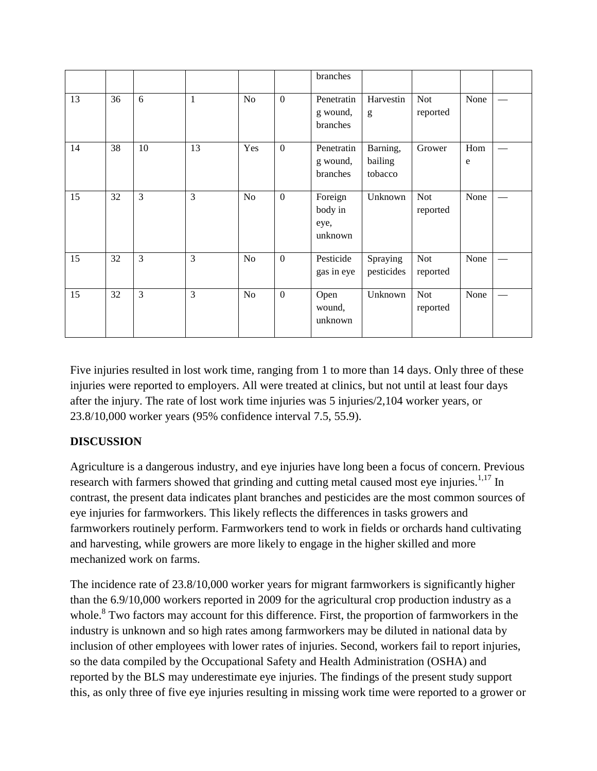|    |    |    |                |                |              | branches                              |                                |                        |                  |  |
|----|----|----|----------------|----------------|--------------|---------------------------------------|--------------------------------|------------------------|------------------|--|
| 13 | 36 | 6  | $\mathbf{1}$   | N <sub>o</sub> | $\mathbf{0}$ | Penetratin<br>g wound,<br>branches    | Harvestin<br>g                 | <b>Not</b><br>reported | None             |  |
| 14 | 38 | 10 | 13             | Yes            | $\mathbf{0}$ | Penetratin<br>g wound,<br>branches    | Barning,<br>bailing<br>tobacco | Grower                 | Hom<br>${\bf e}$ |  |
| 15 | 32 | 3  | 3              | No             | $\mathbf{0}$ | Foreign<br>body in<br>eye,<br>unknown | Unknown                        | <b>Not</b><br>reported | None             |  |
| 15 | 32 | 3  | $\overline{3}$ | N <sub>o</sub> | $\theta$     | Pesticide<br>gas in eye               | Spraying<br>pesticides         | <b>Not</b><br>reported | None             |  |
| 15 | 32 | 3  | $\overline{3}$ | N <sub>o</sub> | $\mathbf{0}$ | Open<br>wound,<br>unknown             | Unknown                        | <b>Not</b><br>reported | None             |  |

Five injuries resulted in lost work time, ranging from 1 to more than 14 days. Only three of these injuries were reported to employers. All were treated at clinics, but not until at least four days after the injury. The rate of lost work time injuries was 5 injuries/2,104 worker years, or 23.8/10,000 worker years (95% confidence interval 7.5, 55.9).

## **DISCUSSION**

Agriculture is a dangerous industry, and eye injuries have long been a focus of concern. Previous research with farmers showed that grinding and cutting metal caused most eye injuries.<sup>1,17</sup> In contrast, the present data indicates plant branches and pesticides are the most common sources of eye injuries for farmworkers. This likely reflects the differences in tasks growers and farmworkers routinely perform. Farmworkers tend to work in fields or orchards hand cultivating and harvesting, while growers are more likely to engage in the higher skilled and more mechanized work on farms.

The incidence rate of 23.8/10,000 worker years for migrant farmworkers is significantly higher than the 6.9/10,000 workers reported in 2009 for the agricultural crop production industry as a whole.<sup>8</sup> Two factors may account for this difference. First, the proportion of farmworkers in the industry is unknown and so high rates among farmworkers may be diluted in national data by inclusion of other employees with lower rates of injuries. Second, workers fail to report injuries, so the data compiled by the Occupational Safety and Health Administration (OSHA) and reported by the BLS may underestimate eye injuries. The findings of the present study support this, as only three of five eye injuries resulting in missing work time were reported to a grower or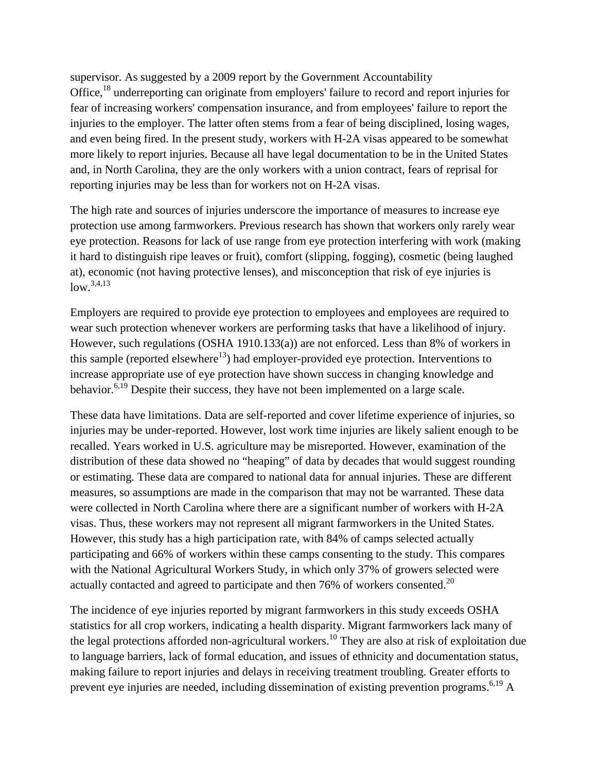supervisor. As suggested by a 2009 report by the Government Accountability Office,<sup>18</sup> underreporting can originate from employers' failure to record and report injuries for fear of increasing workers' compensation insurance, and from employees' failure to report the injuries to the employer. The latter often stems from a fear of being disciplined, losing wages, and even being fired. In the present study, workers with H-2A visas appeared to be somewhat more likely to report injuries. Because all have legal documentation to be in the United States and, in North Carolina, they are the only workers with a union contract, fears of reprisal for reporting injuries may be less than for workers not on H-2A visas.

The high rate and sources of injuries underscore the importance of measures to increase eye protection use among farmworkers. Previous research has shown that workers only rarely wear eye protection. Reasons for lack of use range from eye protection interfering with work (making it hard to distinguish ripe leaves or fruit), comfort (slipping, fogging), cosmetic (being laughed at), economic (not having protective lenses), and misconception that risk of eye injuries is  $low.^{3,4,13}$ 

Employers are required to provide eye protection to employees and employees are required to wear such protection whenever workers are performing tasks that have a likelihood of injury. However, such regulations (OSHA 1910.133(a)) are not enforced. Less than 8% of workers in this sample (reported elsewhere<sup>13</sup>) had employer-provided eye protection. Interventions to increase appropriate use of eye protection have shown success in changing knowledge and behavior.<sup>6,19</sup> Despite their success, they have not been implemented on a large scale.

These data have limitations. Data are self-reported and cover lifetime experience of injuries, so injuries may be under-reported. However, lost work time injuries are likely salient enough to be recalled. Years worked in U.S. agriculture may be misreported. However, examination of the distribution of these data showed no "heaping" of data by decades that would suggest rounding or estimating. These data are compared to national data for annual injuries. These are different measures, so assumptions are made in the comparison that may not be warranted. These data were collected in North Carolina where there are a significant number of workers with H-2A visas. Thus, these workers may not represent all migrant farmworkers in the United States. However, this study has a high participation rate, with 84% of camps selected actually participating and 66% of workers within these camps consenting to the study. This compares with the National Agricultural Workers Study, in which only 37% of growers selected were actually contacted and agreed to participate and then 76% of workers consented.<sup>20</sup>

The incidence of eye injuries reported by migrant farmworkers in this study exceeds OSHA statistics for all crop workers, indicating a health disparity. Migrant farmworkers lack many of the legal protections afforded non-agricultural workers.<sup>10</sup> They are also at risk of exploitation due to language barriers, lack of formal education, and issues of ethnicity and documentation status, making failure to report injuries and delays in receiving treatment troubling. Greater efforts to prevent eye injuries are needed, including dissemination of existing prevention programs.<sup>6,19</sup> A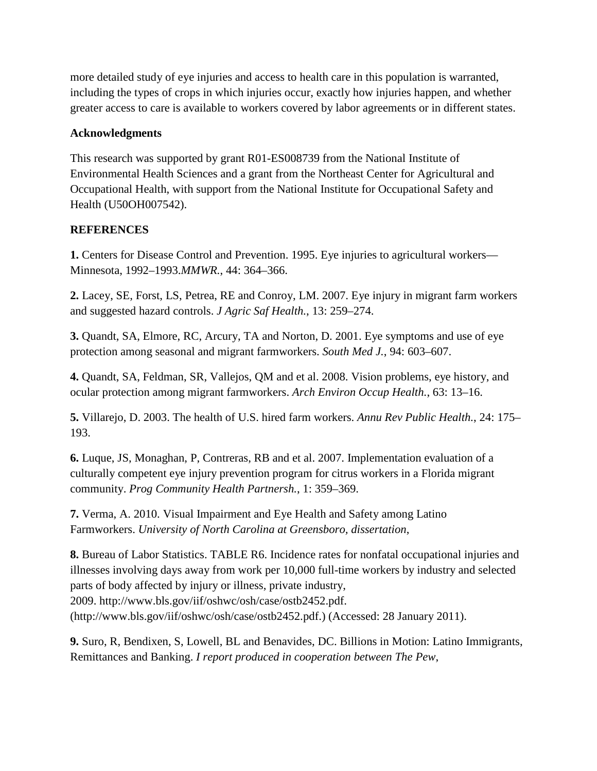more detailed study of eye injuries and access to health care in this population is warranted, including the types of crops in which injuries occur, exactly how injuries happen, and whether greater access to care is available to workers covered by labor agreements or in different states.

### **Acknowledgments**

This research was supported by grant R01-ES008739 from the National Institute of Environmental Health Sciences and a grant from the Northeast Center for Agricultural and Occupational Health, with support from the National Institute for Occupational Safety and Health (U50OH007542).

## **REFERENCES**

**1.** Centers for Disease Control and Prevention. 1995. Eye injuries to agricultural workers— Minnesota, 1992–1993.*MMWR.*, 44: 364–366.

**2.** Lacey, SE, Forst, LS, Petrea, RE and Conroy, LM. 2007. Eye injury in migrant farm workers and suggested hazard controls. *J Agric Saf Health.*, 13: 259–274.

**3.** Quandt, SA, Elmore, RC, Arcury, TA and Norton, D. 2001. Eye symptoms and use of eye protection among seasonal and migrant farmworkers. *South Med J.*, 94: 603–607.

**4.** Quandt, SA, Feldman, SR, Vallejos, QM and et al. 2008. Vision problems, eye history, and ocular protection among migrant farmworkers. *Arch Environ Occup Health.*, 63: 13–16.

**5.** Villarejo, D. 2003. The health of U.S. hired farm workers. *Annu Rev Public Health.*, 24: 175– 193.

**6.** Luque, JS, Monaghan, P, Contreras, RB and et al. 2007. Implementation evaluation of a culturally competent eye injury prevention program for citrus workers in a Florida migrant community. *Prog Community Health Partnersh.*, 1: 359–369.

**7.** Verma, A. 2010. Visual Impairment and Eye Health and Safety among Latino Farmworkers. *University of North Carolina at Greensboro, dissertation*,

**8.** Bureau of Labor Statistics. TABLE R6. Incidence rates for nonfatal occupational injuries and illnesses involving days away from work per 10,000 full-time workers by industry and selected parts of body affected by injury or illness, private industry, 2009. http://www.bls.gov/iif/oshwc/osh/case/ostb2452.pdf. (http://www.bls.gov/iif/oshwc/osh/case/ostb2452.pdf.) (Accessed: 28 January 2011).

**9.** Suro, R, Bendixen, S, Lowell, BL and Benavides, DC. Billions in Motion: Latino Immigrants, Remittances and Banking. *I report produced in cooperation between The Pew*,